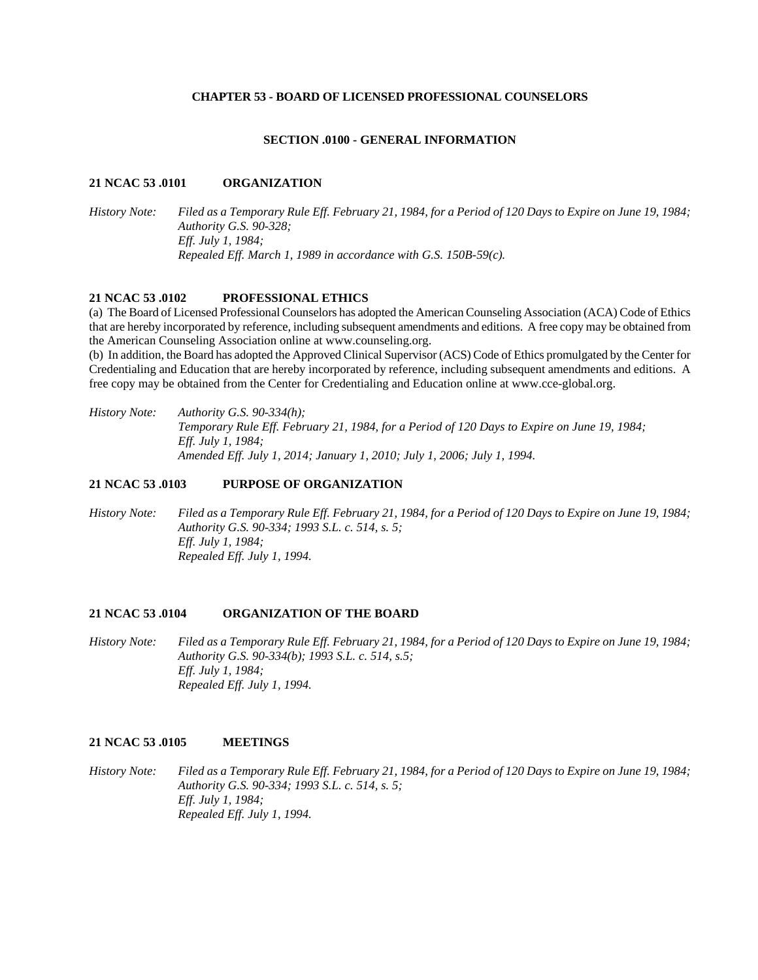#### **CHAPTER 53 - BOARD OF LICENSED PROFESSIONAL COUNSELORS**

### **SECTION .0100 - GENERAL INFORMATION**

### **21 NCAC 53 .0101 ORGANIZATION**

*History Note: Filed as a Temporary Rule Eff. February 21, 1984, for a Period of 120 Days to Expire on June 19, 1984; Authority G.S. 90-328; Eff. July 1, 1984; Repealed Eff. March 1, 1989 in accordance with G.S. 150B-59(c).* 

# **21 NCAC 53 .0102 PROFESSIONAL ETHICS**

(a) The Board of Licensed Professional Counselors has adopted the American Counseling Association (ACA) Code of Ethics that are hereby incorporated by reference, including subsequent amendments and editions. A free copy may be obtained from the American Counseling Association online at www.counseling.org.

(b) In addition, the Board has adopted the Approved Clinical Supervisor (ACS) Code of Ethics promulgated by the Center for Credentialing and Education that are hereby incorporated by reference, including subsequent amendments and editions. A free copy may be obtained from the Center for Credentialing and Education online at www.cce-global.org.

*History Note: Authority G.S. 90-334(h); Temporary Rule Eff. February 21, 1984, for a Period of 120 Days to Expire on June 19, 1984; Eff. July 1, 1984; Amended Eff. July 1, 2014; January 1, 2010; July 1, 2006; July 1, 1994.* 

## **21 NCAC 53 .0103 PURPOSE OF ORGANIZATION**

*History Note: Filed as a Temporary Rule Eff. February 21, 1984, for a Period of 120 Days to Expire on June 19, 1984; Authority G.S. 90-334; 1993 S.L. c. 514, s. 5; Eff. July 1, 1984; Repealed Eff. July 1, 1994.* 

#### **21 NCAC 53 .0104 ORGANIZATION OF THE BOARD**

*History Note: Filed as a Temporary Rule Eff. February 21, 1984, for a Period of 120 Days to Expire on June 19, 1984; Authority G.S. 90-334(b); 1993 S.L. c. 514, s.5; Eff. July 1, 1984; Repealed Eff. July 1, 1994.* 

### **21 NCAC 53 .0105 MEETINGS**

*History Note: Filed as a Temporary Rule Eff. February 21, 1984, for a Period of 120 Days to Expire on June 19, 1984; Authority G.S. 90-334; 1993 S.L. c. 514, s. 5; Eff. July 1, 1984; Repealed Eff. July 1, 1994.*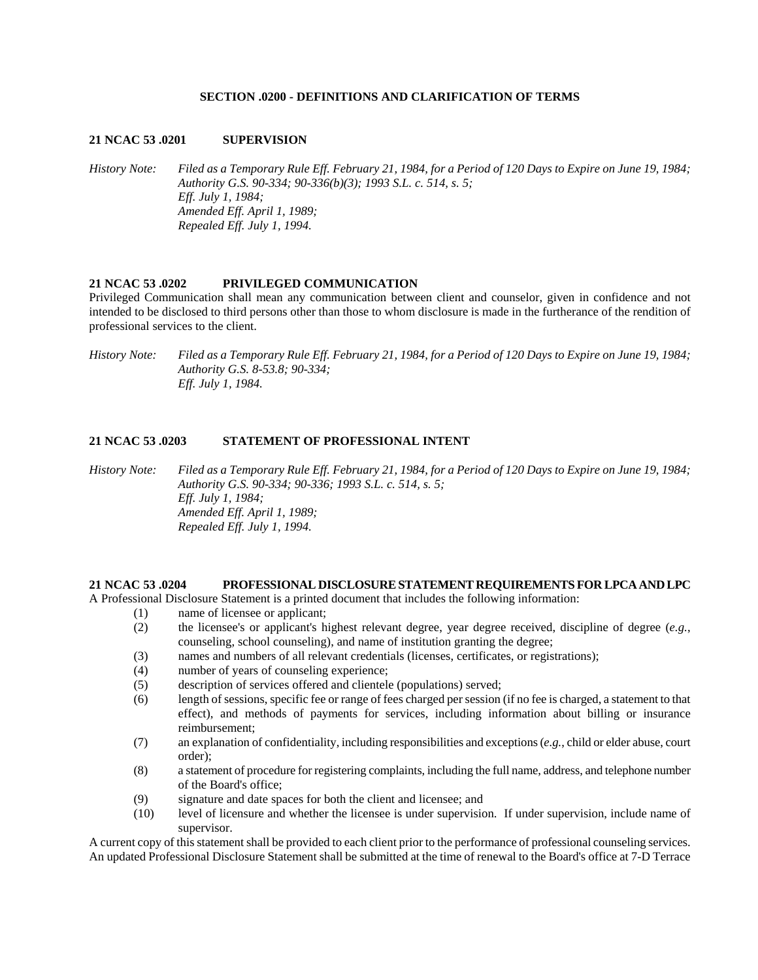## **SECTION .0200 - DEFINITIONS AND CLARIFICATION OF TERMS**

#### **21 NCAC 53 .0201 SUPERVISION**

*History Note: Filed as a Temporary Rule Eff. February 21, 1984, for a Period of 120 Days to Expire on June 19, 1984; Authority G.S. 90-334; 90-336(b)(3); 1993 S.L. c. 514, s. 5; Eff. July 1, 1984; Amended Eff. April 1, 1989; Repealed Eff. July 1, 1994.* 

#### **21 NCAC 53 .0202 PRIVILEGED COMMUNICATION**

Privileged Communication shall mean any communication between client and counselor, given in confidence and not intended to be disclosed to third persons other than those to whom disclosure is made in the furtherance of the rendition of professional services to the client.

*History Note: Filed as a Temporary Rule Eff. February 21, 1984, for a Period of 120 Days to Expire on June 19, 1984; Authority G.S. 8-53.8; 90-334; Eff. July 1, 1984.* 

## **21 NCAC 53 .0203 STATEMENT OF PROFESSIONAL INTENT**

*History Note: Filed as a Temporary Rule Eff. February 21, 1984, for a Period of 120 Days to Expire on June 19, 1984; Authority G.S. 90-334; 90-336; 1993 S.L. c. 514, s. 5; Eff. July 1, 1984; Amended Eff. April 1, 1989; Repealed Eff. July 1, 1994.* 

### **21 NCAC 53 .0204 PROFESSIONAL DISCLOSURE STATEMENT REQUIREMENTS FOR LPCA AND LPC**

A Professional Disclosure Statement is a printed document that includes the following information:

- (1) name of licensee or applicant;
- (2) the licensee's or applicant's highest relevant degree, year degree received, discipline of degree (*e.g.*, counseling, school counseling), and name of institution granting the degree;
- (3) names and numbers of all relevant credentials (licenses, certificates, or registrations);
- (4) number of years of counseling experience;
- (5) description of services offered and clientele (populations) served;
- (6) length of sessions, specific fee or range of fees charged per session (if no fee is charged, a statement to that effect), and methods of payments for services, including information about billing or insurance reimbursement;
- (7) an explanation of confidentiality, including responsibilities and exceptions (*e.g.*, child or elder abuse, court order);
- (8) a statement of procedure for registering complaints, including the full name, address, and telephone number of the Board's office;
- (9) signature and date spaces for both the client and licensee; and
- (10) level of licensure and whether the licensee is under supervision. If under supervision, include name of supervisor.

A current copy of this statement shall be provided to each client prior to the performance of professional counseling services. An updated Professional Disclosure Statement shall be submitted at the time of renewal to the Board's office at 7-D Terrace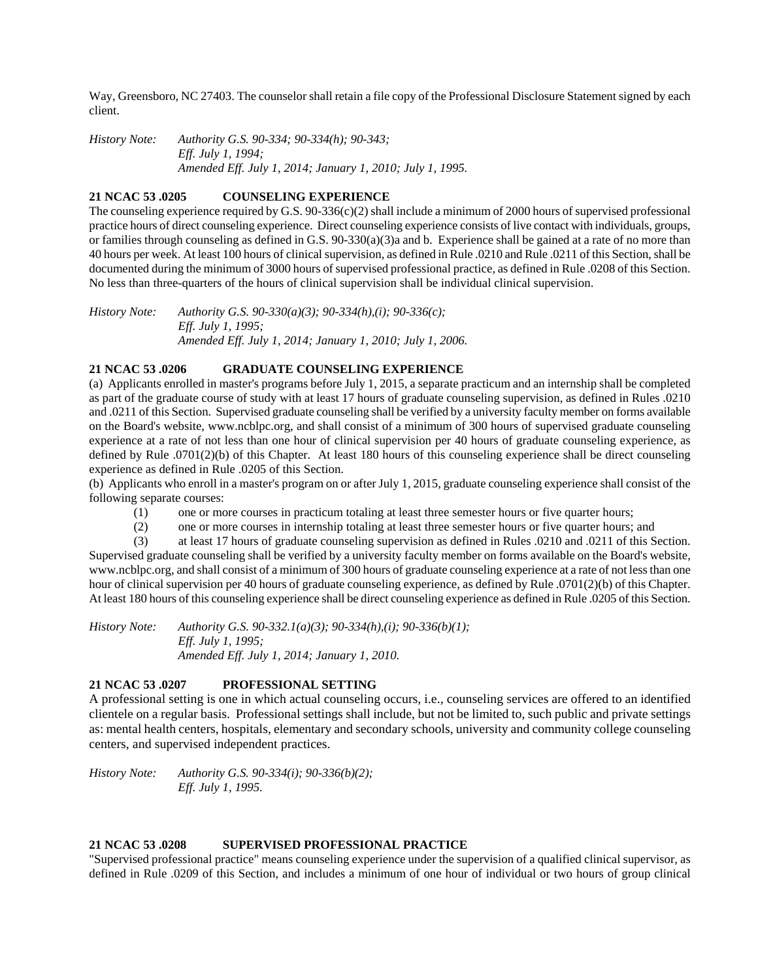Way, Greensboro, NC 27403. The counselor shall retain a file copy of the Professional Disclosure Statement signed by each client.

*History Note: Authority G.S. 90-334; 90-334(h); 90-343; Eff. July 1, 1994; Amended Eff. July 1, 2014; January 1, 2010; July 1, 1995.* 

# **21 NCAC 53 .0205 COUNSELING EXPERIENCE**

The counseling experience required by G.S.  $90-336(c)(2)$  shall include a minimum of 2000 hours of supervised professional practice hours of direct counseling experience. Direct counseling experience consists of live contact with individuals, groups, or families through counseling as defined in G.S. 90-330(a)(3)a and b. Experience shall be gained at a rate of no more than 40 hours per week. At least 100 hours of clinical supervision, as defined in Rule .0210 and Rule .0211 of this Section, shall be documented during the minimum of 3000 hours of supervised professional practice, as defined in Rule .0208 of this Section. No less than three-quarters of the hours of clinical supervision shall be individual clinical supervision.

*History Note: Authority G.S. 90-330(a)(3); 90-334(h),(i); 90-336(c); Eff. July 1, 1995; Amended Eff. July 1, 2014; January 1, 2010; July 1, 2006.* 

### **21 NCAC 53 .0206 GRADUATE COUNSELING EXPERIENCE**

(a) Applicants enrolled in master's programs before July 1, 2015, a separate practicum and an internship shall be completed as part of the graduate course of study with at least 17 hours of graduate counseling supervision, as defined in Rules .0210 and .0211 of this Section. Supervised graduate counseling shall be verified by a university faculty member on forms available on the Board's website, www.ncblpc.org, and shall consist of a minimum of 300 hours of supervised graduate counseling experience at a rate of not less than one hour of clinical supervision per 40 hours of graduate counseling experience, as defined by Rule .0701(2)(b) of this Chapter. At least 180 hours of this counseling experience shall be direct counseling experience as defined in Rule .0205 of this Section.

(b) Applicants who enroll in a master's program on or after July 1, 2015, graduate counseling experience shall consist of the following separate courses:

- (1) one or more courses in practicum totaling at least three semester hours or five quarter hours;
- (2) one or more courses in internship totaling at least three semester hours or five quarter hours; and

(3) at least 17 hours of graduate counseling supervision as defined in Rules .0210 and .0211 of this Section. Supervised graduate counseling shall be verified by a university faculty member on forms available on the Board's website, www.ncblpc.org, and shall consist of a minimum of 300 hours of graduate counseling experience at a rate of not less than one hour of clinical supervision per 40 hours of graduate counseling experience, as defined by Rule .0701(2)(b) of this Chapter. At least 180 hours of this counseling experience shall be direct counseling experience as defined in Rule .0205 of this Section.

*History Note: Authority G.S. 90-332.1(a)(3); 90-334(h),(i); 90-336(b)(1); Eff. July 1, 1995; Amended Eff. July 1, 2014; January 1, 2010.* 

# **21 NCAC 53 .0207 PROFESSIONAL SETTING**

A professional setting is one in which actual counseling occurs, i.e., counseling services are offered to an identified clientele on a regular basis. Professional settings shall include, but not be limited to, such public and private settings as: mental health centers, hospitals, elementary and secondary schools, university and community college counseling centers, and supervised independent practices.

*History Note: Authority G.S. 90-334(i); 90-336(b)(2); Eff. July 1, 1995.* 

### **21 NCAC 53 .0208 SUPERVISED PROFESSIONAL PRACTICE**

"Supervised professional practice" means counseling experience under the supervision of a qualified clinical supervisor, as defined in Rule .0209 of this Section, and includes a minimum of one hour of individual or two hours of group clinical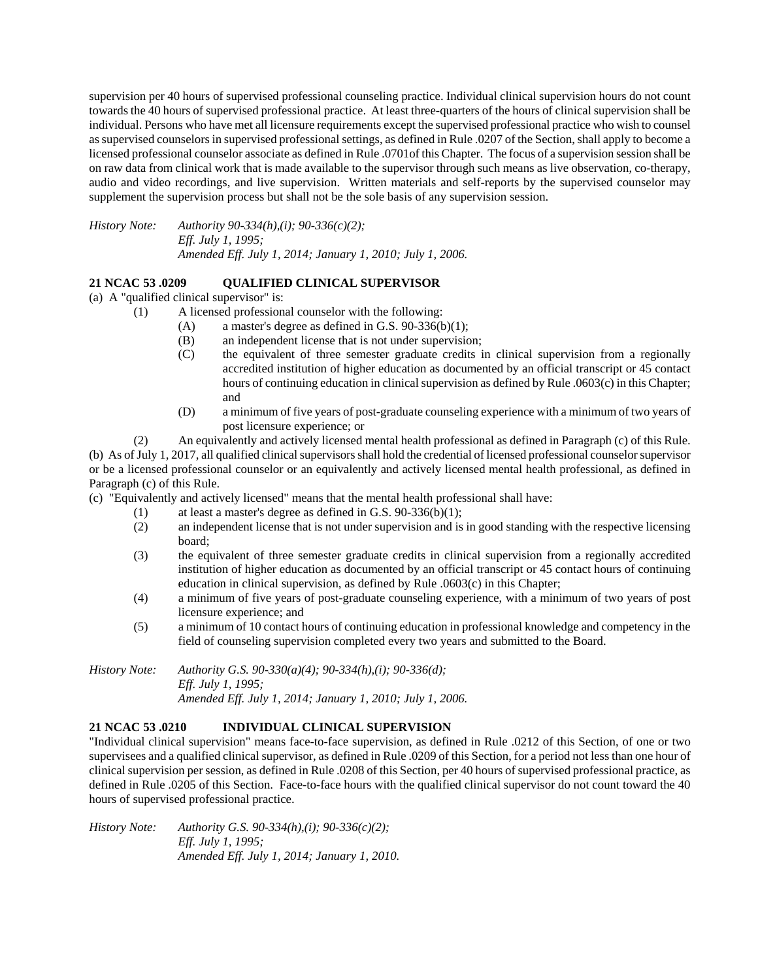supervision per 40 hours of supervised professional counseling practice. Individual clinical supervision hours do not count towards the 40 hours of supervised professional practice. At least three-quarters of the hours of clinical supervision shall be individual. Persons who have met all licensure requirements except the supervised professional practice who wish to counsel as supervised counselors in supervised professional settings, as defined in Rule .0207 of the Section, shall apply to become a licensed professional counselor associate as defined in Rule .0701of this Chapter. The focus of a supervision session shall be on raw data from clinical work that is made available to the supervisor through such means as live observation, co-therapy, audio and video recordings, and live supervision. Written materials and self-reports by the supervised counselor may supplement the supervision process but shall not be the sole basis of any supervision session.

*History Note: Authority 90-334(h),(i); 90-336(c)(2); Eff. July 1, 1995; Amended Eff. July 1, 2014; January 1, 2010; July 1, 2006.* 

# **21 NCAC 53 .0209 QUALIFIED CLINICAL SUPERVISOR**

(a) A "qualified clinical supervisor" is:

- (1) A licensed professional counselor with the following:
	- (A) a master's degree as defined in G.S.  $90-336(b)(1)$ ;
	- (B) an independent license that is not under supervision;
	- (C) the equivalent of three semester graduate credits in clinical supervision from a regionally accredited institution of higher education as documented by an official transcript or 45 contact hours of continuing education in clinical supervision as defined by Rule .0603(c) in this Chapter; and
	- (D) a minimum of five years of post-graduate counseling experience with a minimum of two years of post licensure experience; or

(2) An equivalently and actively licensed mental health professional as defined in Paragraph (c) of this Rule. (b) As of July 1, 2017, all qualified clinical supervisors shall hold the credential of licensed professional counselor supervisor or be a licensed professional counselor or an equivalently and actively licensed mental health professional, as defined in Paragraph (c) of this Rule.

(c) "Equivalently and actively licensed" means that the mental health professional shall have:

- (1) at least a master's degree as defined in G.S. 90-336(b)(1);
- (2) an independent license that is not under supervision and is in good standing with the respective licensing board;
- (3) the equivalent of three semester graduate credits in clinical supervision from a regionally accredited institution of higher education as documented by an official transcript or 45 contact hours of continuing education in clinical supervision, as defined by Rule .0603(c) in this Chapter;
- (4) a minimum of five years of post-graduate counseling experience, with a minimum of two years of post licensure experience; and
- (5) a minimum of 10 contact hours of continuing education in professional knowledge and competency in the field of counseling supervision completed every two years and submitted to the Board.

*History Note: Authority G.S. 90-330(a)(4); 90-334(h),(i); 90-336(d); Eff. July 1, 1995; Amended Eff. July 1, 2014; January 1, 2010; July 1, 2006.* 

# **21 NCAC 53 .0210 INDIVIDUAL CLINICAL SUPERVISION**

"Individual clinical supervision" means face-to-face supervision, as defined in Rule .0212 of this Section, of one or two supervisees and a qualified clinical supervisor, as defined in Rule .0209 of this Section, for a period not less than one hour of clinical supervision per session, as defined in Rule .0208 of this Section, per 40 hours of supervised professional practice, as defined in Rule .0205 of this Section. Face-to-face hours with the qualified clinical supervisor do not count toward the 40 hours of supervised professional practice.

*History Note: Authority G.S. 90-334(h),(i); 90-336(c)(2); Eff. July 1, 1995; Amended Eff. July 1, 2014; January 1, 2010.*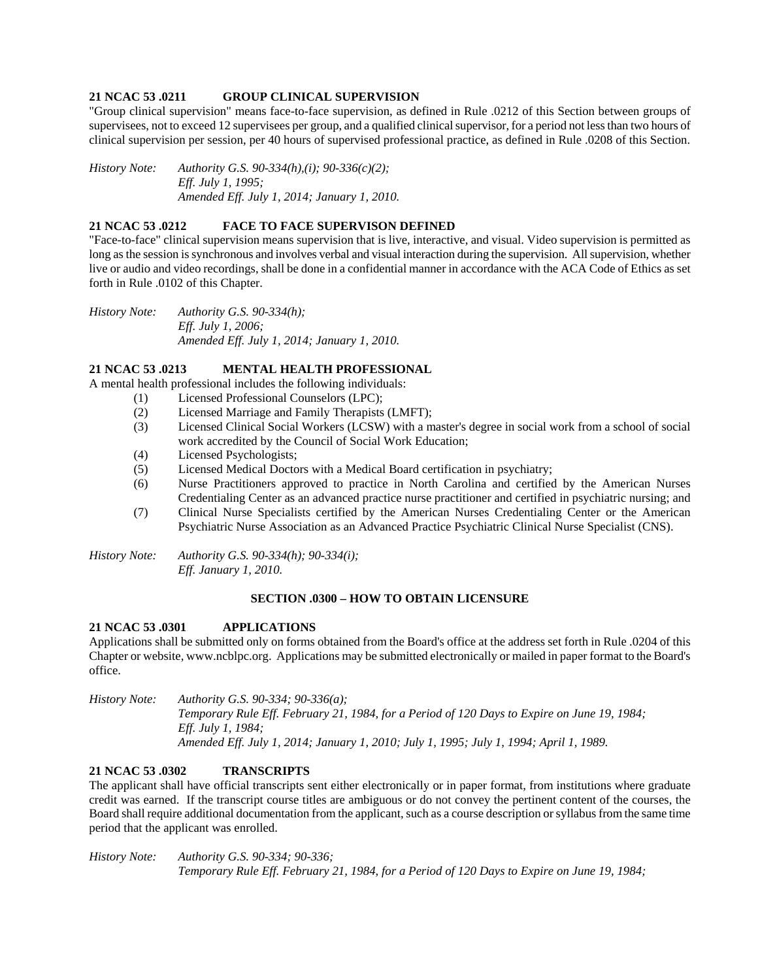## **21 NCAC 53 .0211 GROUP CLINICAL SUPERVISION**

"Group clinical supervision" means face-to-face supervision, as defined in Rule .0212 of this Section between groups of supervisees, not to exceed 12 supervisees per group, and a qualified clinical supervisor, for a period not less than two hours of clinical supervision per session, per 40 hours of supervised professional practice, as defined in Rule .0208 of this Section.

*History Note: Authority G.S. 90-334(h),(i); 90-336(c)(2); Eff. July 1, 1995; Amended Eff. July 1, 2014; January 1, 2010.* 

### **21 NCAC 53 .0212 FACE TO FACE SUPERVISON DEFINED**

"Face-to-face" clinical supervision means supervision that is live, interactive, and visual. Video supervision is permitted as long as the session is synchronous and involves verbal and visual interaction during the supervision. All supervision, whether live or audio and video recordings, shall be done in a confidential manner in accordance with the ACA Code of Ethics as set forth in Rule .0102 of this Chapter.

*History Note: Authority G.S. 90-334(h); Eff. July 1, 2006; Amended Eff. July 1, 2014; January 1, 2010.* 

# **21 NCAC 53 .0213 MENTAL HEALTH PROFESSIONAL**

A mental health professional includes the following individuals:

- (1) Licensed Professional Counselors (LPC);
	- (2) Licensed Marriage and Family Therapists (LMFT);
	- (3) Licensed Clinical Social Workers (LCSW) with a master's degree in social work from a school of social work accredited by the Council of Social Work Education;
	- (4) Licensed Psychologists;
	- (5) Licensed Medical Doctors with a Medical Board certification in psychiatry;
	- (6) Nurse Practitioners approved to practice in North Carolina and certified by the American Nurses Credentialing Center as an advanced practice nurse practitioner and certified in psychiatric nursing; and
	- (7) Clinical Nurse Specialists certified by the American Nurses Credentialing Center or the American Psychiatric Nurse Association as an Advanced Practice Psychiatric Clinical Nurse Specialist (CNS).

*History Note: Authority G.S. 90-334(h); 90-334(i); Eff. January 1, 2010.* 

### **SECTION .0300 – HOW TO OBTAIN LICENSURE**

### **21 NCAC 53 .0301 APPLICATIONS**

Applications shall be submitted only on forms obtained from the Board's office at the address set forth in Rule .0204 of this Chapter or website, www.ncblpc.org. Applications may be submitted electronically or mailed in paper format to the Board's office.

*History Note: Authority G.S. 90-334; 90-336(a); Temporary Rule Eff. February 21, 1984, for a Period of 120 Days to Expire on June 19, 1984; Eff. July 1, 1984; Amended Eff. July 1, 2014; January 1, 2010; July 1, 1995; July 1, 1994; April 1, 1989.* 

## **21 NCAC 53 .0302 TRANSCRIPTS**

The applicant shall have official transcripts sent either electronically or in paper format, from institutions where graduate credit was earned. If the transcript course titles are ambiguous or do not convey the pertinent content of the courses, the Board shall require additional documentation from the applicant, such as a course description or syllabus from the same time period that the applicant was enrolled.

*History Note: Authority G.S. 90-334; 90-336; Temporary Rule Eff. February 21, 1984, for a Period of 120 Days to Expire on June 19, 1984;*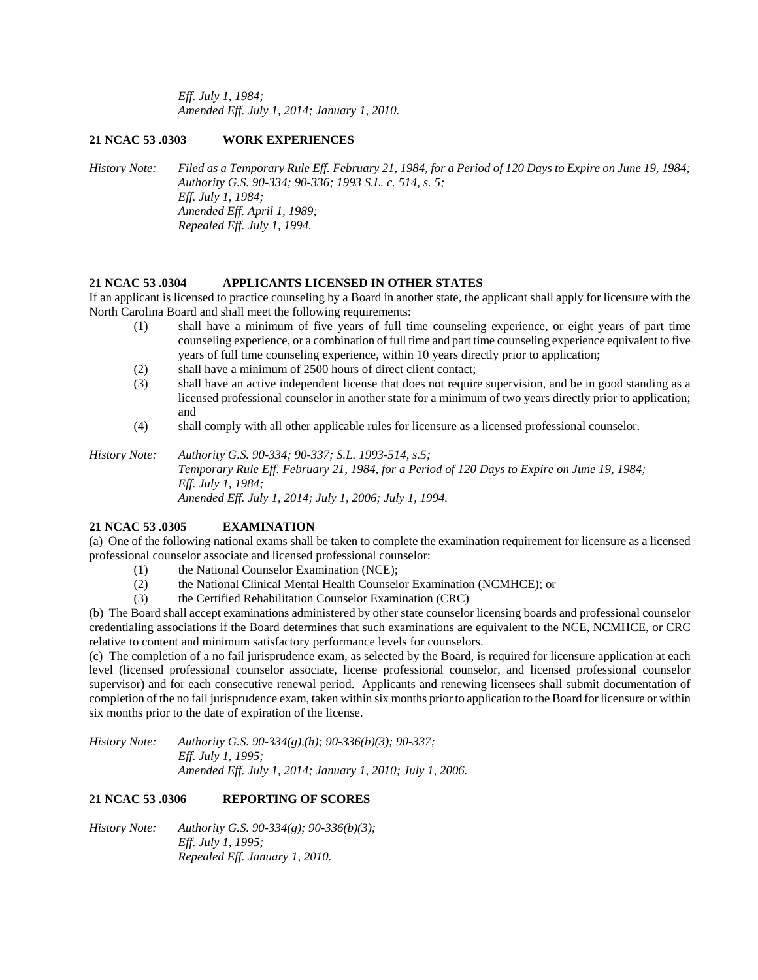*Eff. July 1, 1984; Amended Eff. July 1, 2014; January 1, 2010.* 

# **21 NCAC 53 .0303 WORK EXPERIENCES**

*History Note: Filed as a Temporary Rule Eff. February 21, 1984, for a Period of 120 Days to Expire on June 19, 1984; Authority G.S. 90-334; 90-336; 1993 S.L. c. 514, s. 5; Eff. July 1, 1984; Amended Eff. April 1, 1989; Repealed Eff. July 1, 1994.* 

# **21 NCAC 53 .0304 APPLICANTS LICENSED IN OTHER STATES**

If an applicant is licensed to practice counseling by a Board in another state, the applicant shall apply for licensure with the North Carolina Board and shall meet the following requirements:

- (1) shall have a minimum of five years of full time counseling experience, or eight years of part time counseling experience, or a combination of full time and part time counseling experience equivalent to five years of full time counseling experience, within 10 years directly prior to application;
- (2) shall have a minimum of 2500 hours of direct client contact;
- (3) shall have an active independent license that does not require supervision, and be in good standing as a licensed professional counselor in another state for a minimum of two years directly prior to application; and
- (4) shall comply with all other applicable rules for licensure as a licensed professional counselor.

*History Note: Authority G.S. 90-334; 90-337; S.L. 1993-514, s.5; Temporary Rule Eff. February 21, 1984, for a Period of 120 Days to Expire on June 19, 1984; Eff. July 1, 1984; Amended Eff. July 1, 2014; July 1, 2006; July 1, 1994.* 

# **21 NCAC 53 .0305 EXAMINATION**

(a) One of the following national exams shall be taken to complete the examination requirement for licensure as a licensed professional counselor associate and licensed professional counselor:

- (1) the National Counselor Examination (NCE);
- (2) the National Clinical Mental Health Counselor Examination (NCMHCE); or
- (3) the Certified Rehabilitation Counselor Examination (CRC)

(b) The Board shall accept examinations administered by other state counselor licensing boards and professional counselor credentialing associations if the Board determines that such examinations are equivalent to the NCE, NCMHCE, or CRC relative to content and minimum satisfactory performance levels for counselors.

(c) The completion of a no fail jurisprudence exam, as selected by the Board, is required for licensure application at each level (licensed professional counselor associate, license professional counselor, and licensed professional counselor supervisor) and for each consecutive renewal period. Applicants and renewing licensees shall submit documentation of completion of the no fail jurisprudence exam, taken within six months prior to application to the Board for licensure or within six months prior to the date of expiration of the license.

*History Note: Authority G.S. 90-334(g),(h); 90-336(b)(3); 90-337; Eff. July 1, 1995; Amended Eff. July 1, 2014; January 1, 2010; July 1, 2006.* 

# **21 NCAC 53 .0306 REPORTING OF SCORES**

*History Note: Authority G.S. 90-334(g); 90-336(b)(3); Eff. July 1, 1995; Repealed Eff. January 1, 2010.*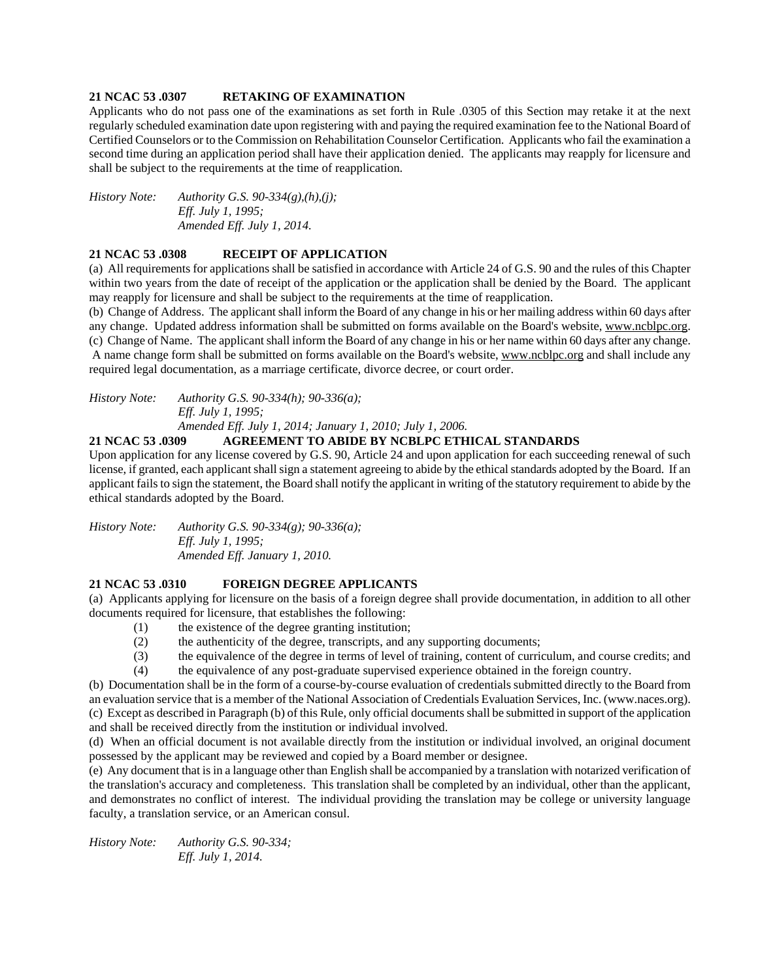## **21 NCAC 53 .0307 RETAKING OF EXAMINATION**

Applicants who do not pass one of the examinations as set forth in Rule .0305 of this Section may retake it at the next regularly scheduled examination date upon registering with and paying the required examination fee to the National Board of Certified Counselors or to the Commission on Rehabilitation Counselor Certification. Applicants who fail the examination a second time during an application period shall have their application denied. The applicants may reapply for licensure and shall be subject to the requirements at the time of reapplication.

*History Note: Authority G.S. 90-334(g),(h),(j); Eff. July 1, 1995; Amended Eff. July 1, 2014.* 

## **21 NCAC 53 .0308 RECEIPT OF APPLICATION**

(a) All requirements for applications shall be satisfied in accordance with Article 24 of G.S. 90 and the rules of this Chapter within two years from the date of receipt of the application or the application shall be denied by the Board. The applicant may reapply for licensure and shall be subject to the requirements at the time of reapplication.

(b) Change of Address. The applicant shall inform the Board of any change in his or her mailing address within 60 days after any change. Updated address information shall be submitted on forms available on the Board's website, www.ncblpc.org. (c) Change of Name. The applicant shall inform the Board of any change in his or her name within 60 days after any change. A name change form shall be submitted on forms available on the Board's website, www.ncblpc.org and shall include any required legal documentation, as a marriage certificate, divorce decree, or court order.

*History Note: Authority G.S. 90-334(h); 90-336(a); Eff. July 1, 1995; Amended Eff. July 1, 2014; January 1, 2010; July 1, 2006.* 

# **21 NCAC 53 .0309 AGREEMENT TO ABIDE BY NCBLPC ETHICAL STANDARDS**

Upon application for any license covered by G.S. 90, Article 24 and upon application for each succeeding renewal of such license, if granted, each applicant shall sign a statement agreeing to abide by the ethical standards adopted by the Board. If an applicant fails to sign the statement, the Board shall notify the applicant in writing of the statutory requirement to abide by the ethical standards adopted by the Board.

*History Note: Authority G.S. 90-334(g); 90-336(a); Eff. July 1, 1995; Amended Eff. January 1, 2010.* 

# **21 NCAC 53 .0310 FOREIGN DEGREE APPLICANTS**

(a) Applicants applying for licensure on the basis of a foreign degree shall provide documentation, in addition to all other documents required for licensure, that establishes the following:

- (1) the existence of the degree granting institution;
- (2) the authenticity of the degree, transcripts, and any supporting documents;
- (3) the equivalence of the degree in terms of level of training, content of curriculum, and course credits; and
- (4) the equivalence of any post-graduate supervised experience obtained in the foreign country.

(b) Documentation shall be in the form of a course-by-course evaluation of credentials submitted directly to the Board from an evaluation service that is a member of the National Association of Credentials Evaluation Services, Inc. (www.naces.org). (c) Except as described in Paragraph (b) of this Rule, only official documents shall be submitted in support of the application and shall be received directly from the institution or individual involved.

(d) When an official document is not available directly from the institution or individual involved, an original document possessed by the applicant may be reviewed and copied by a Board member or designee.

(e) Any document that is in a language other than English shall be accompanied by a translation with notarized verification of the translation's accuracy and completeness. This translation shall be completed by an individual, other than the applicant, and demonstrates no conflict of interest. The individual providing the translation may be college or university language faculty, a translation service, or an American consul.

*History Note: Authority G.S. 90-334; Eff. July 1, 2014.*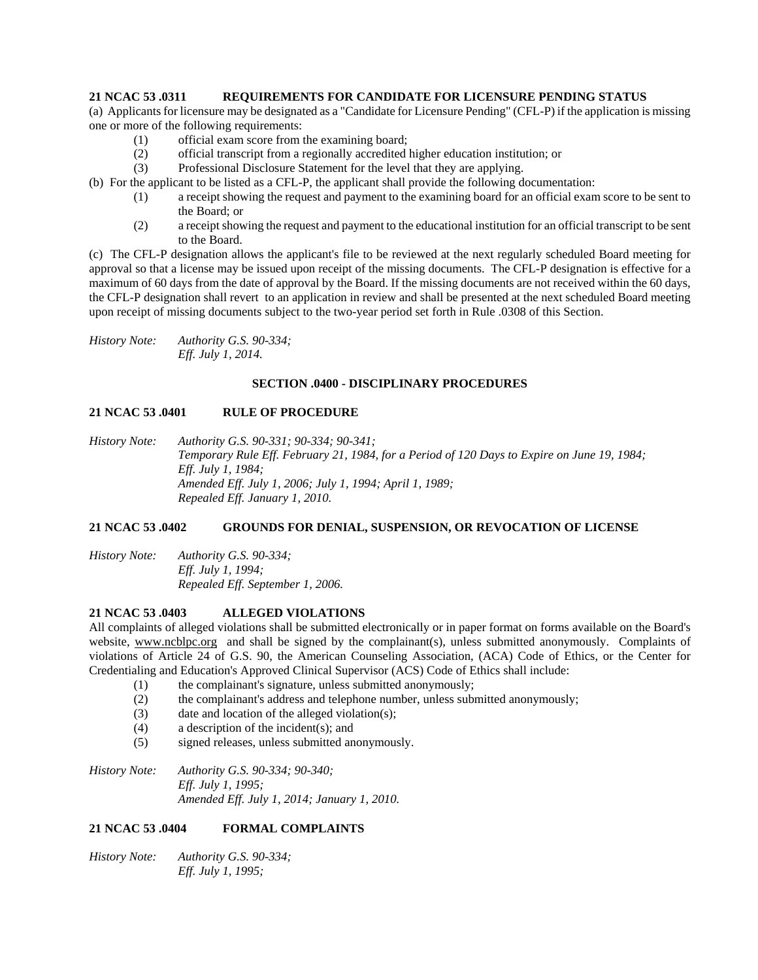# **21 NCAC 53 .0311 REQUIREMENTS FOR CANDIDATE FOR LICENSURE PENDING STATUS**

(a) Applicants for licensure may be designated as a "Candidate for Licensure Pending" (CFL-P) if the application is missing one or more of the following requirements:

- (1) official exam score from the examining board;
- (2) official transcript from a regionally accredited higher education institution; or
- (3) Professional Disclosure Statement for the level that they are applying.

(b) For the applicant to be listed as a CFL-P, the applicant shall provide the following documentation:

- (1) a receipt showing the request and payment to the examining board for an official exam score to be sent to the Board; or
- (2) a receipt showing the request and payment to the educational institution for an official transcript to be sent to the Board.

(c) The CFL-P designation allows the applicant's file to be reviewed at the next regularly scheduled Board meeting for approval so that a license may be issued upon receipt of the missing documents. The CFL-P designation is effective for a maximum of 60 days from the date of approval by the Board. If the missing documents are not received within the 60 days, the CFL-P designation shall revert to an application in review and shall be presented at the next scheduled Board meeting upon receipt of missing documents subject to the two-year period set forth in Rule .0308 of this Section.

*History Note: Authority G.S. 90-334; Eff. July 1, 2014.* 

## **SECTION .0400 - DISCIPLINARY PROCEDURES**

## **21 NCAC 53 .0401 RULE OF PROCEDURE**

*History Note: Authority G.S. 90-331; 90-334; 90-341; Temporary Rule Eff. February 21, 1984, for a Period of 120 Days to Expire on June 19, 1984; Eff. July 1, 1984; Amended Eff. July 1, 2006; July 1, 1994; April 1, 1989; Repealed Eff. January 1, 2010.* 

# **21 NCAC 53 .0402 GROUNDS FOR DENIAL, SUSPENSION, OR REVOCATION OF LICENSE**

*History Note: Authority G.S. 90-334; Eff. July 1, 1994; Repealed Eff. September 1, 2006.* 

# **21 NCAC 53 .0403 ALLEGED VIOLATIONS**

All complaints of alleged violations shall be submitted electronically or in paper format on forms available on the Board's website, www.ncblpc.org and shall be signed by the complainant(s), unless submitted anonymously. Complaints of violations of Article 24 of G.S. 90, the American Counseling Association, (ACA) Code of Ethics, or the Center for Credentialing and Education's Approved Clinical Supervisor (ACS) Code of Ethics shall include:

- (1) the complainant's signature, unless submitted anonymously;
- (2) the complainant's address and telephone number, unless submitted anonymously;
- (3) date and location of the alleged violation(s);
- (4) a description of the incident(s); and
- (5) signed releases, unless submitted anonymously.

*History Note: Authority G.S. 90-334; 90-340; Eff. July 1, 1995; Amended Eff. July 1, 2014; January 1, 2010.* 

# **21 NCAC 53 .0404 FORMAL COMPLAINTS**

*History Note: Authority G.S. 90-334; Eff. July 1, 1995;*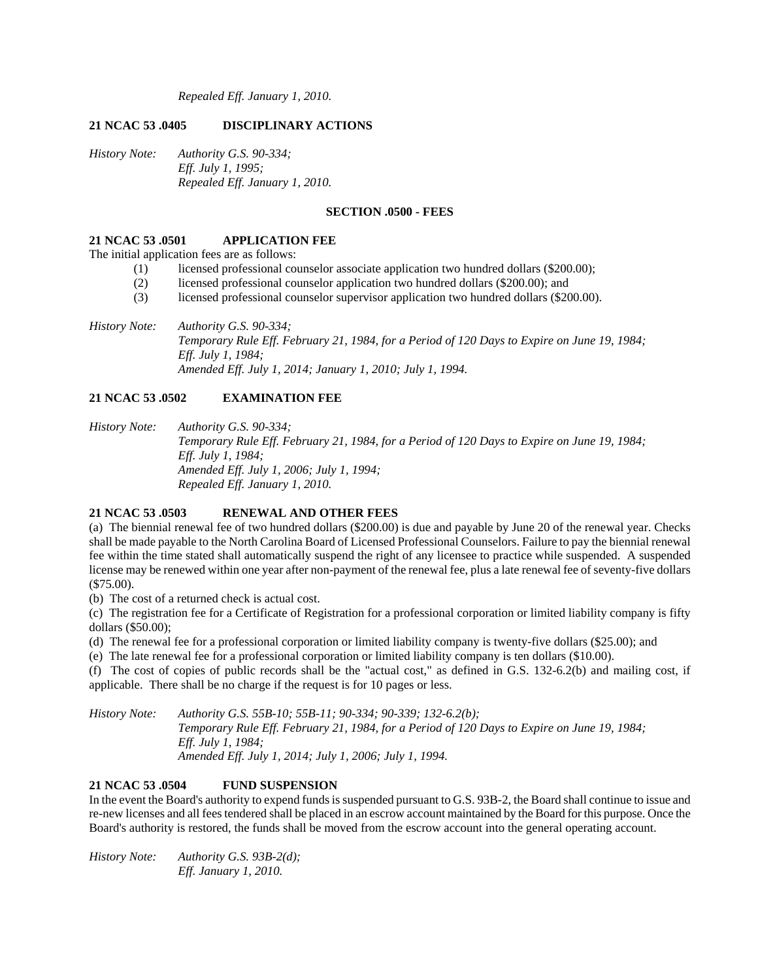*Repealed Eff. January 1, 2010.* 

# **21 NCAC 53 .0405 DISCIPLINARY ACTIONS**

*History Note: Authority G.S. 90-334; Eff. July 1, 1995; Repealed Eff. January 1, 2010.* 

## **SECTION .0500 - FEES**

### **21 NCAC 53 .0501 APPLICATION FEE**

The initial application fees are as follows:

- (1) licensed professional counselor associate application two hundred dollars (\$200.00);
- (2) licensed professional counselor application two hundred dollars (\$200.00); and
- (3) licensed professional counselor supervisor application two hundred dollars (\$200.00).
- *History Note: Authority G.S. 90-334; Temporary Rule Eff. February 21, 1984, for a Period of 120 Days to Expire on June 19, 1984; Eff. July 1, 1984; Amended Eff. July 1, 2014; January 1, 2010; July 1, 1994.*

## **21 NCAC 53 .0502 EXAMINATION FEE**

*History Note: Authority G.S. 90-334; Temporary Rule Eff. February 21, 1984, for a Period of 120 Days to Expire on June 19, 1984; Eff. July 1, 1984; Amended Eff. July 1, 2006; July 1, 1994; Repealed Eff. January 1, 2010.* 

## **21 NCAC 53 .0503 RENEWAL AND OTHER FEES**

(a) The biennial renewal fee of two hundred dollars (\$200.00) is due and payable by June 20 of the renewal year. Checks shall be made payable to the North Carolina Board of Licensed Professional Counselors. Failure to pay the biennial renewal fee within the time stated shall automatically suspend the right of any licensee to practice while suspended. A suspended license may be renewed within one year after non-payment of the renewal fee, plus a late renewal fee of seventy-five dollars (\$75.00).

(b) The cost of a returned check is actual cost.

(c) The registration fee for a Certificate of Registration for a professional corporation or limited liability company is fifty dollars (\$50.00);

(d) The renewal fee for a professional corporation or limited liability company is twenty-five dollars (\$25.00); and

(e) The late renewal fee for a professional corporation or limited liability company is ten dollars (\$10.00).

(f) The cost of copies of public records shall be the "actual cost," as defined in G.S. 132-6.2(b) and mailing cost, if applicable. There shall be no charge if the request is for 10 pages or less.

*History Note: Authority G.S. 55B-10; 55B-11; 90-334; 90-339; 132-6.2(b); Temporary Rule Eff. February 21, 1984, for a Period of 120 Days to Expire on June 19, 1984; Eff. July 1, 1984; Amended Eff. July 1, 2014; July 1, 2006; July 1, 1994.* 

# **21 NCAC 53 .0504 FUND SUSPENSION**

In the event the Board's authority to expend funds is suspended pursuant to G.S. 93B-2, the Board shall continue to issue and re-new licenses and all fees tendered shall be placed in an escrow account maintained by the Board for this purpose. Once the Board's authority is restored, the funds shall be moved from the escrow account into the general operating account.

*History Note: Authority G.S. 93B-2(d); Eff. January 1, 2010.*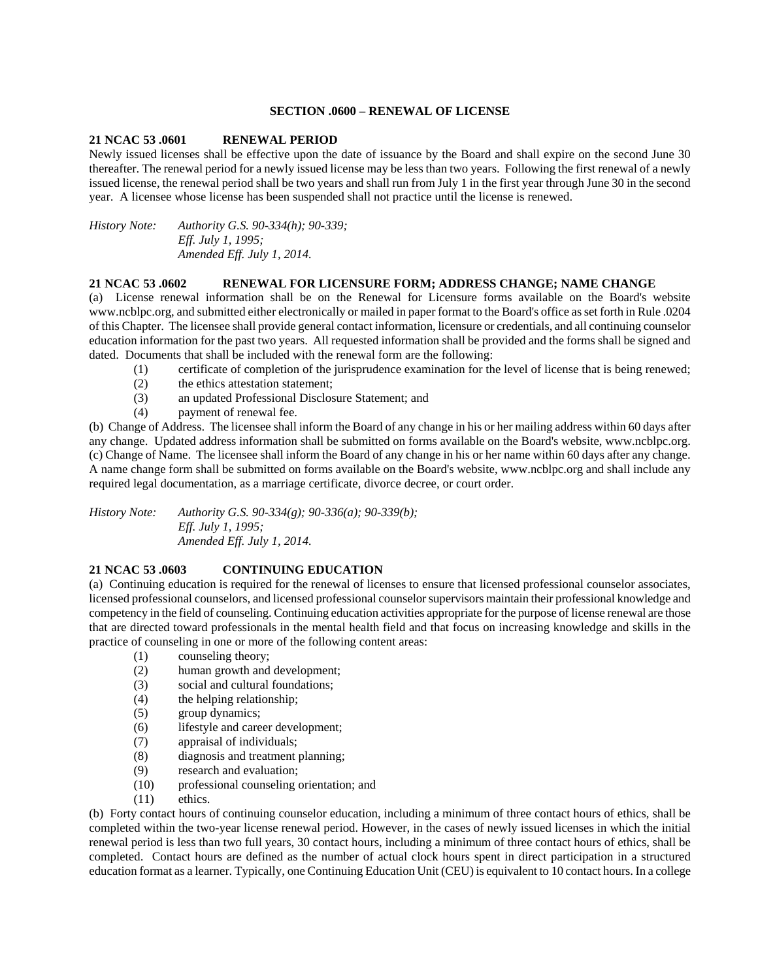### **SECTION .0600 – RENEWAL OF LICENSE**

## **21 NCAC 53 .0601 RENEWAL PERIOD**

Newly issued licenses shall be effective upon the date of issuance by the Board and shall expire on the second June 30 thereafter. The renewal period for a newly issued license may be less than two years. Following the first renewal of a newly issued license, the renewal period shall be two years and shall run from July 1 in the first year through June 30 in the second year. A licensee whose license has been suspended shall not practice until the license is renewed.

*History Note: Authority G.S. 90-334(h); 90-339; Eff. July 1, 1995; Amended Eff. July 1, 2014.* 

#### **21 NCAC 53 .0602 RENEWAL FOR LICENSURE FORM; ADDRESS CHANGE; NAME CHANGE**

(a) License renewal information shall be on the Renewal for Licensure forms available on the Board's website www.ncblpc.org, and submitted either electronically or mailed in paper format to the Board's office as set forth in Rule .0204 of this Chapter. The licensee shall provide general contact information, licensure or credentials, and all continuing counselor education information for the past two years. All requested information shall be provided and the forms shall be signed and dated. Documents that shall be included with the renewal form are the following:

- (1) certificate of completion of the jurisprudence examination for the level of license that is being renewed;
- (2) the ethics attestation statement;
- (3) an updated Professional Disclosure Statement; and
- (4) payment of renewal fee.

(b) Change of Address. The licensee shall inform the Board of any change in his or her mailing address within 60 days after any change. Updated address information shall be submitted on forms available on the Board's website, www.ncblpc.org. (c) Change of Name. The licensee shall inform the Board of any change in his or her name within 60 days after any change. A name change form shall be submitted on forms available on the Board's website, www.ncblpc.org and shall include any required legal documentation, as a marriage certificate, divorce decree, or court order.

*History Note: Authority G.S. 90-334(g); 90-336(a); 90-339(b); Eff. July 1, 1995; Amended Eff. July 1, 2014.* 

### **21 NCAC 53 .0603 CONTINUING EDUCATION**

(a) Continuing education is required for the renewal of licenses to ensure that licensed professional counselor associates, licensed professional counselors, and licensed professional counselor supervisors maintain their professional knowledge and competency in the field of counseling. Continuing education activities appropriate for the purpose of license renewal are those that are directed toward professionals in the mental health field and that focus on increasing knowledge and skills in the practice of counseling in one or more of the following content areas:

- (1) counseling theory;
- (2) human growth and development;
- (3) social and cultural foundations;
- (4) the helping relationship;
- (5) group dynamics;
- (6) lifestyle and career development;
- (7) appraisal of individuals;
- (8) diagnosis and treatment planning;
- (9) research and evaluation;
- (10) professional counseling orientation; and
- (11) ethics.

(b) Forty contact hours of continuing counselor education, including a minimum of three contact hours of ethics, shall be completed within the two-year license renewal period. However, in the cases of newly issued licenses in which the initial renewal period is less than two full years, 30 contact hours, including a minimum of three contact hours of ethics, shall be completed. Contact hours are defined as the number of actual clock hours spent in direct participation in a structured education format as a learner. Typically, one Continuing Education Unit (CEU) is equivalent to 10 contact hours. In a college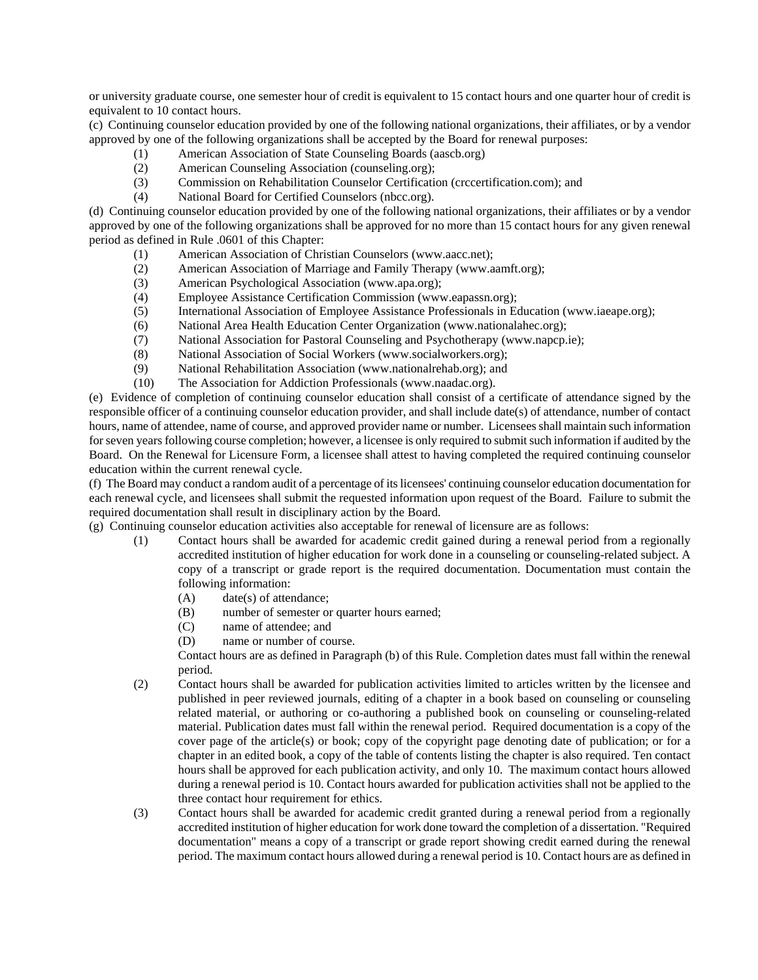or university graduate course, one semester hour of credit is equivalent to 15 contact hours and one quarter hour of credit is equivalent to 10 contact hours.

(c) Continuing counselor education provided by one of the following national organizations, their affiliates, or by a vendor approved by one of the following organizations shall be accepted by the Board for renewal purposes:

- (1) American Association of State Counseling Boards (aascb.org)
- (2) American Counseling Association (counseling.org);
- (3) Commission on Rehabilitation Counselor Certification (crccertification.com); and
- (4) National Board for Certified Counselors (nbcc.org).

(d) Continuing counselor education provided by one of the following national organizations, their affiliates or by a vendor approved by one of the following organizations shall be approved for no more than 15 contact hours for any given renewal period as defined in Rule .0601 of this Chapter:

- (1) American Association of Christian Counselors (www.aacc.net);
- (2) American Association of Marriage and Family Therapy (www.aamft.org);
- (3) American Psychological Association (www.apa.org);
- (4) Employee Assistance Certification Commission (www.eapassn.org);
- (5) International Association of Employee Assistance Professionals in Education (www.iaeape.org);
- (6) National Area Health Education Center Organization (www.nationalahec.org);
- (7) National Association for Pastoral Counseling and Psychotherapy (www.napcp.ie);
- (8) National Association of Social Workers (www.socialworkers.org);
- (9) National Rehabilitation Association (www.nationalrehab.org); and
- (10) The Association for Addiction Professionals (www.naadac.org).

(e) Evidence of completion of continuing counselor education shall consist of a certificate of attendance signed by the responsible officer of a continuing counselor education provider, and shall include date(s) of attendance, number of contact hours, name of attendee, name of course, and approved provider name or number. Licensees shall maintain such information for seven years following course completion; however, a licensee is only required to submit such information if audited by the Board. On the Renewal for Licensure Form, a licensee shall attest to having completed the required continuing counselor education within the current renewal cycle.

(f) The Board may conduct a random audit of a percentage of its licensees' continuing counselor education documentation for each renewal cycle, and licensees shall submit the requested information upon request of the Board. Failure to submit the required documentation shall result in disciplinary action by the Board.

(g) Continuing counselor education activities also acceptable for renewal of licensure are as follows:

- (1) Contact hours shall be awarded for academic credit gained during a renewal period from a regionally accredited institution of higher education for work done in a counseling or counseling-related subject. A copy of a transcript or grade report is the required documentation. Documentation must contain the following information:
	- (A) date(s) of attendance;
	- (B) number of semester or quarter hours earned;
	- (C) name of attendee; and
	- (D) name or number of course.

Contact hours are as defined in Paragraph (b) of this Rule. Completion dates must fall within the renewal period.

- (2) Contact hours shall be awarded for publication activities limited to articles written by the licensee and published in peer reviewed journals, editing of a chapter in a book based on counseling or counseling related material, or authoring or co-authoring a published book on counseling or counseling-related material. Publication dates must fall within the renewal period. Required documentation is a copy of the cover page of the article(s) or book; copy of the copyright page denoting date of publication; or for a chapter in an edited book, a copy of the table of contents listing the chapter is also required. Ten contact hours shall be approved for each publication activity, and only 10. The maximum contact hours allowed during a renewal period is 10. Contact hours awarded for publication activities shall not be applied to the three contact hour requirement for ethics.
- (3) Contact hours shall be awarded for academic credit granted during a renewal period from a regionally accredited institution of higher education for work done toward the completion of a dissertation. "Required documentation" means a copy of a transcript or grade report showing credit earned during the renewal period. The maximum contact hours allowed during a renewal period is 10. Contact hours are as defined in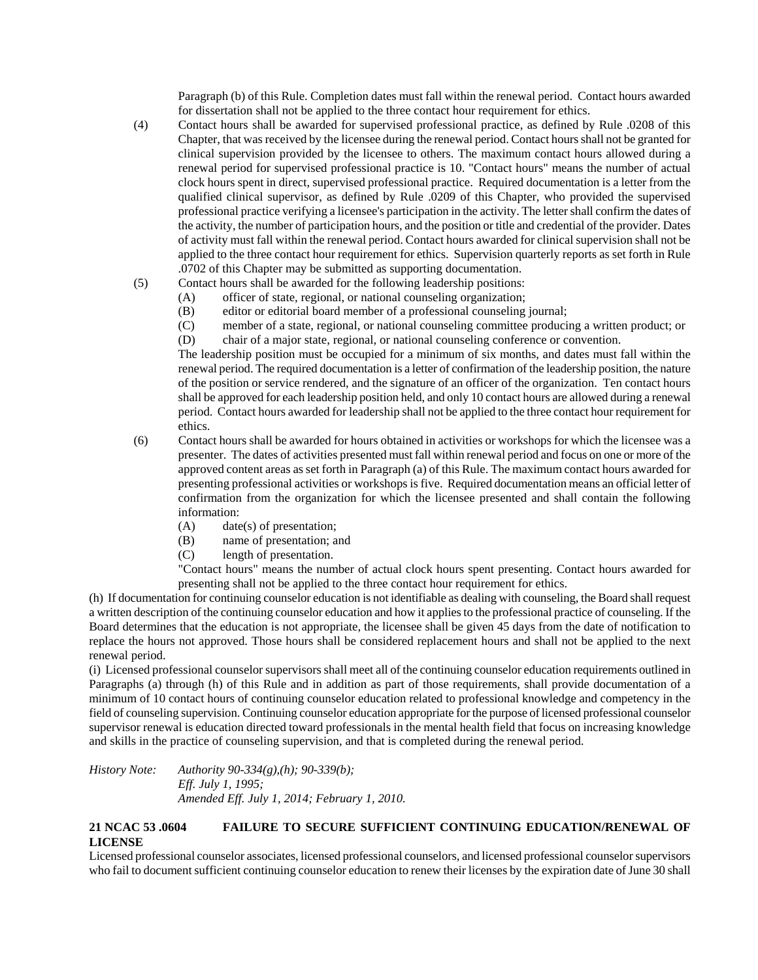Paragraph (b) of this Rule. Completion dates must fall within the renewal period. Contact hours awarded for dissertation shall not be applied to the three contact hour requirement for ethics.

- (4) Contact hours shall be awarded for supervised professional practice, as defined by Rule .0208 of this Chapter, that was received by the licensee during the renewal period. Contact hours shall not be granted for clinical supervision provided by the licensee to others. The maximum contact hours allowed during a renewal period for supervised professional practice is 10. "Contact hours" means the number of actual clock hours spent in direct, supervised professional practice. Required documentation is a letter from the qualified clinical supervisor, as defined by Rule .0209 of this Chapter, who provided the supervised professional practice verifying a licensee's participation in the activity. The letter shall confirm the dates of the activity, the number of participation hours, and the position or title and credential of the provider. Dates of activity must fall within the renewal period. Contact hours awarded for clinical supervision shall not be applied to the three contact hour requirement for ethics. Supervision quarterly reports as set forth in Rule .0702 of this Chapter may be submitted as supporting documentation.
- (5) Contact hours shall be awarded for the following leadership positions:
	- (A) officer of state, regional, or national counseling organization;
		- (B) editor or editorial board member of a professional counseling journal;
		- (C) member of a state, regional, or national counseling committee producing a written product; or
		- (D) chair of a major state, regional, or national counseling conference or convention.

The leadership position must be occupied for a minimum of six months, and dates must fall within the renewal period. The required documentation is a letter of confirmation of the leadership position, the nature of the position or service rendered, and the signature of an officer of the organization. Ten contact hours shall be approved for each leadership position held, and only 10 contact hours are allowed during a renewal period. Contact hours awarded for leadership shall not be applied to the three contact hour requirement for ethics.

- (6) Contact hours shall be awarded for hours obtained in activities or workshops for which the licensee was a presenter. The dates of activities presented must fall within renewal period and focus on one or more of the approved content areas as set forth in Paragraph (a) of this Rule. The maximum contact hours awarded for presenting professional activities or workshops is five. Required documentation means an official letter of confirmation from the organization for which the licensee presented and shall contain the following information:
	- (A) date(s) of presentation;
	- (B) name of presentation; and
	- (C) length of presentation.

"Contact hours" means the number of actual clock hours spent presenting. Contact hours awarded for presenting shall not be applied to the three contact hour requirement for ethics.

(h) If documentation for continuing counselor education is not identifiable as dealing with counseling, the Board shall request a written description of the continuing counselor education and how it applies to the professional practice of counseling. If the Board determines that the education is not appropriate, the licensee shall be given 45 days from the date of notification to replace the hours not approved. Those hours shall be considered replacement hours and shall not be applied to the next renewal period.

(i) Licensed professional counselor supervisors shall meet all of the continuing counselor education requirements outlined in Paragraphs (a) through (h) of this Rule and in addition as part of those requirements, shall provide documentation of a minimum of 10 contact hours of continuing counselor education related to professional knowledge and competency in the field of counseling supervision. Continuing counselor education appropriate for the purpose of licensed professional counselor supervisor renewal is education directed toward professionals in the mental health field that focus on increasing knowledge and skills in the practice of counseling supervision, and that is completed during the renewal period.

*History Note: Authority 90-334(g),(h); 90-339(b); Eff. July 1, 1995; Amended Eff. July 1, 2014; February 1, 2010.* 

# **21 NCAC 53 .0604 FAILURE TO SECURE SUFFICIENT CONTINUING EDUCATION/RENEWAL OF LICENSE**

Licensed professional counselor associates, licensed professional counselors, and licensed professional counselor supervisors who fail to document sufficient continuing counselor education to renew their licenses by the expiration date of June 30 shall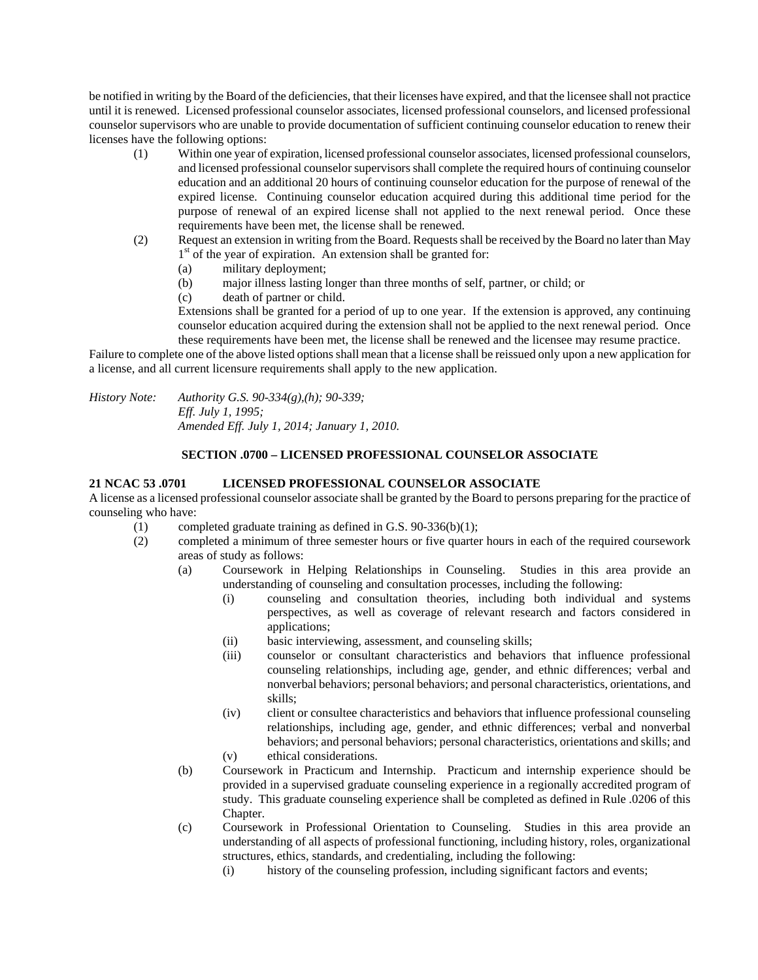be notified in writing by the Board of the deficiencies, that their licenses have expired, and that the licensee shall not practice until it is renewed. Licensed professional counselor associates, licensed professional counselors, and licensed professional counselor supervisors who are unable to provide documentation of sufficient continuing counselor education to renew their licenses have the following options:

- (1) Within one year of expiration, licensed professional counselor associates, licensed professional counselors, and licensed professional counselor supervisors shall complete the required hours of continuing counselor education and an additional 20 hours of continuing counselor education for the purpose of renewal of the expired license. Continuing counselor education acquired during this additional time period for the purpose of renewal of an expired license shall not applied to the next renewal period. Once these requirements have been met, the license shall be renewed.
- (2) Request an extension in writing from the Board. Requests shall be received by the Board no later than May  $1<sup>st</sup>$  of the year of expiration. An extension shall be granted for:
	- (a) military deployment;
	- (b) major illness lasting longer than three months of self, partner, or child; or
	- (c) death of partner or child.

Extensions shall be granted for a period of up to one year. If the extension is approved, any continuing counselor education acquired during the extension shall not be applied to the next renewal period. Once these requirements have been met, the license shall be renewed and the licensee may resume practice.

Failure to complete one of the above listed options shall mean that a license shall be reissued only upon a new application for a license, and all current licensure requirements shall apply to the new application.

*History Note: Authority G.S. 90-334(g),(h); 90-339; Eff. July 1, 1995; Amended Eff. July 1, 2014; January 1, 2010.* 

## **SECTION .0700 – LICENSED PROFESSIONAL COUNSELOR ASSOCIATE**

# **21 NCAC 53 .0701 LICENSED PROFESSIONAL COUNSELOR ASSOCIATE**

A license as a licensed professional counselor associate shall be granted by the Board to persons preparing for the practice of counseling who have:

- (1) completed graduate training as defined in G.S. 90-336(b)(1);
- (2) completed a minimum of three semester hours or five quarter hours in each of the required coursework areas of study as follows:
	- (a) Coursework in Helping Relationships in Counseling. Studies in this area provide an understanding of counseling and consultation processes, including the following:
		- (i) counseling and consultation theories, including both individual and systems perspectives, as well as coverage of relevant research and factors considered in applications;
		- (ii) basic interviewing, assessment, and counseling skills;
		- (iii) counselor or consultant characteristics and behaviors that influence professional counseling relationships, including age, gender, and ethnic differences; verbal and nonverbal behaviors; personal behaviors; and personal characteristics, orientations, and skills;
		- (iv) client or consultee characteristics and behaviors that influence professional counseling relationships, including age, gender, and ethnic differences; verbal and nonverbal behaviors; and personal behaviors; personal characteristics, orientations and skills; and (v) ethical considerations.
	- (b) Coursework in Practicum and Internship. Practicum and internship experience should be provided in a supervised graduate counseling experience in a regionally accredited program of study. This graduate counseling experience shall be completed as defined in Rule .0206 of this Chapter.
	- (c) Coursework in Professional Orientation to Counseling. Studies in this area provide an understanding of all aspects of professional functioning, including history, roles, organizational structures, ethics, standards, and credentialing, including the following:
		- (i) history of the counseling profession, including significant factors and events;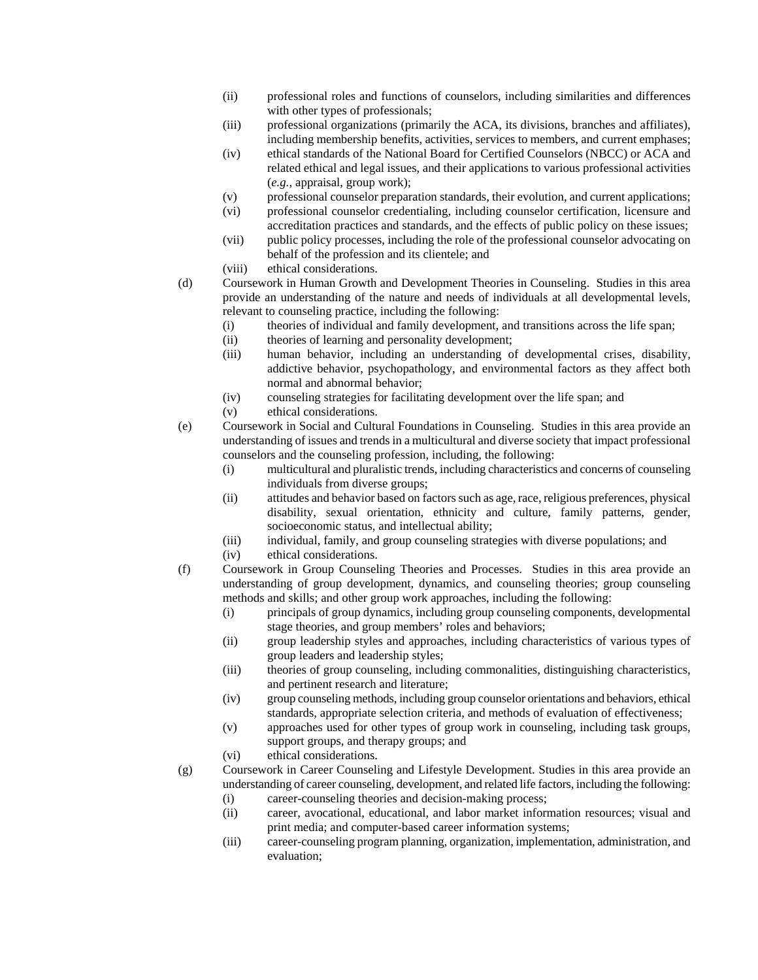- (ii) professional roles and functions of counselors, including similarities and differences with other types of professionals:
- (iii) professional organizations (primarily the ACA, its divisions, branches and affiliates), including membership benefits, activities, services to members, and current emphases;
- (iv) ethical standards of the National Board for Certified Counselors (NBCC) or ACA and related ethical and legal issues, and their applications to various professional activities (*e.g.*, appraisal, group work);
- (v) professional counselor preparation standards, their evolution, and current applications;
- (vi) professional counselor credentialing, including counselor certification, licensure and accreditation practices and standards, and the effects of public policy on these issues;
- (vii) public policy processes, including the role of the professional counselor advocating on behalf of the profession and its clientele; and
- (viii) ethical considerations.

(d) Coursework in Human Growth and Development Theories in Counseling. Studies in this area provide an understanding of the nature and needs of individuals at all developmental levels, relevant to counseling practice, including the following:

- (i) theories of individual and family development, and transitions across the life span;
- (ii) theories of learning and personality development;
- (iii) human behavior, including an understanding of developmental crises, disability, addictive behavior, psychopathology, and environmental factors as they affect both normal and abnormal behavior;
- (iv) counseling strategies for facilitating development over the life span; and
- (v) ethical considerations.
- (e) Coursework in Social and Cultural Foundations in Counseling. Studies in this area provide an understanding of issues and trends in a multicultural and diverse society that impact professional counselors and the counseling profession, including, the following:
	- (i) multicultural and pluralistic trends, including characteristics and concerns of counseling individuals from diverse groups;
	- (ii) attitudes and behavior based on factors such as age, race, religious preferences, physical disability, sexual orientation, ethnicity and culture, family patterns, gender, socioeconomic status, and intellectual ability;
	- (iii) individual, family, and group counseling strategies with diverse populations; and (iv) ethical considerations.
	-
- (f) Coursework in Group Counseling Theories and Processes. Studies in this area provide an understanding of group development, dynamics, and counseling theories; group counseling methods and skills; and other group work approaches, including the following:
	- (i) principals of group dynamics, including group counseling components, developmental stage theories, and group members' roles and behaviors;
	- (ii) group leadership styles and approaches, including characteristics of various types of group leaders and leadership styles;
	- (iii) theories of group counseling, including commonalities, distinguishing characteristics, and pertinent research and literature;
	- (iv) group counseling methods, including group counselor orientations and behaviors, ethical standards, appropriate selection criteria, and methods of evaluation of effectiveness;
	- (v) approaches used for other types of group work in counseling, including task groups, support groups, and therapy groups; and
	- (vi) ethical considerations.
- (g) Coursework in Career Counseling and Lifestyle Development. Studies in this area provide an understanding of career counseling, development, and related life factors, including the following:
	- (i) career-counseling theories and decision-making process;
	- (ii) career, avocational, educational, and labor market information resources; visual and print media; and computer-based career information systems;
	- (iii) career-counseling program planning, organization, implementation, administration, and evaluation;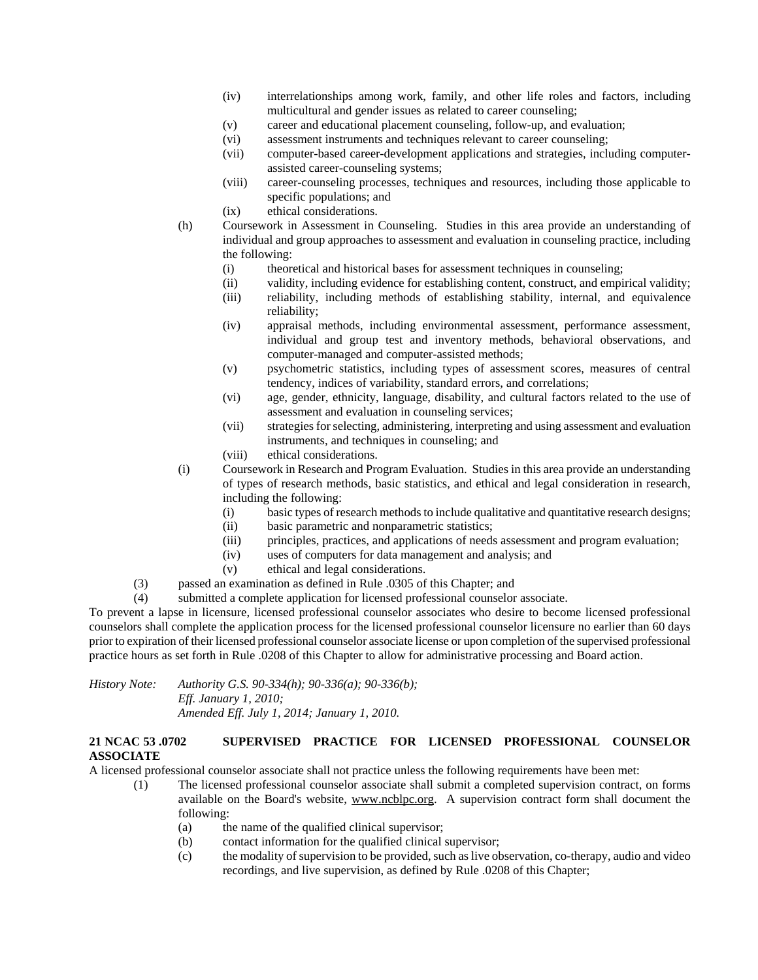- (iv) interrelationships among work, family, and other life roles and factors, including multicultural and gender issues as related to career counseling;
- (v) career and educational placement counseling, follow-up, and evaluation;
- (vi) assessment instruments and techniques relevant to career counseling;
- (vii) computer-based career-development applications and strategies, including computerassisted career-counseling systems;
- (viii) career-counseling processes, techniques and resources, including those applicable to specific populations; and
- (ix) ethical considerations.
- (h) Coursework in Assessment in Counseling. Studies in this area provide an understanding of individual and group approaches to assessment and evaluation in counseling practice, including the following:
	- (i) theoretical and historical bases for assessment techniques in counseling;
	- (ii) validity, including evidence for establishing content, construct, and empirical validity;
	- (iii) reliability, including methods of establishing stability, internal, and equivalence reliability;
	- (iv) appraisal methods, including environmental assessment, performance assessment, individual and group test and inventory methods, behavioral observations, and computer-managed and computer-assisted methods;
	- (v) psychometric statistics, including types of assessment scores, measures of central tendency, indices of variability, standard errors, and correlations;
	- (vi) age, gender, ethnicity, language, disability, and cultural factors related to the use of assessment and evaluation in counseling services;
	- (vii) strategies for selecting, administering, interpreting and using assessment and evaluation instruments, and techniques in counseling; and
	- (viii) ethical considerations.
- (i) Coursework in Research and Program Evaluation. Studies in this area provide an understanding of types of research methods, basic statistics, and ethical and legal consideration in research, including the following:
	- (i) basic types of research methods to include qualitative and quantitative research designs;
	- (ii) basic parametric and nonparametric statistics;
	- (iii) principles, practices, and applications of needs assessment and program evaluation;
	- (iv) uses of computers for data management and analysis; and
	- (v) ethical and legal considerations.
- (3) passed an examination as defined in Rule .0305 of this Chapter; and
- (4) submitted a complete application for licensed professional counselor associate.

To prevent a lapse in licensure, licensed professional counselor associates who desire to become licensed professional counselors shall complete the application process for the licensed professional counselor licensure no earlier than 60 days prior to expiration of their licensed professional counselor associate license or upon completion of the supervised professional practice hours as set forth in Rule .0208 of this Chapter to allow for administrative processing and Board action.

*History Note: Authority G.S. 90-334(h); 90-336(a); 90-336(b); Eff. January 1, 2010; Amended Eff. July 1, 2014; January 1, 2010.* 

## **21 NCAC 53 .0702 SUPERVISED PRACTICE FOR LICENSED PROFESSIONAL COUNSELOR ASSOCIATE**

A licensed professional counselor associate shall not practice unless the following requirements have been met:

- (1) The licensed professional counselor associate shall submit a completed supervision contract, on forms available on the Board's website, www.ncblpc.org. A supervision contract form shall document the following:
	- (a) the name of the qualified clinical supervisor;
	- (b) contact information for the qualified clinical supervisor;
	- (c) the modality of supervision to be provided, such as live observation, co-therapy, audio and video recordings, and live supervision, as defined by Rule .0208 of this Chapter;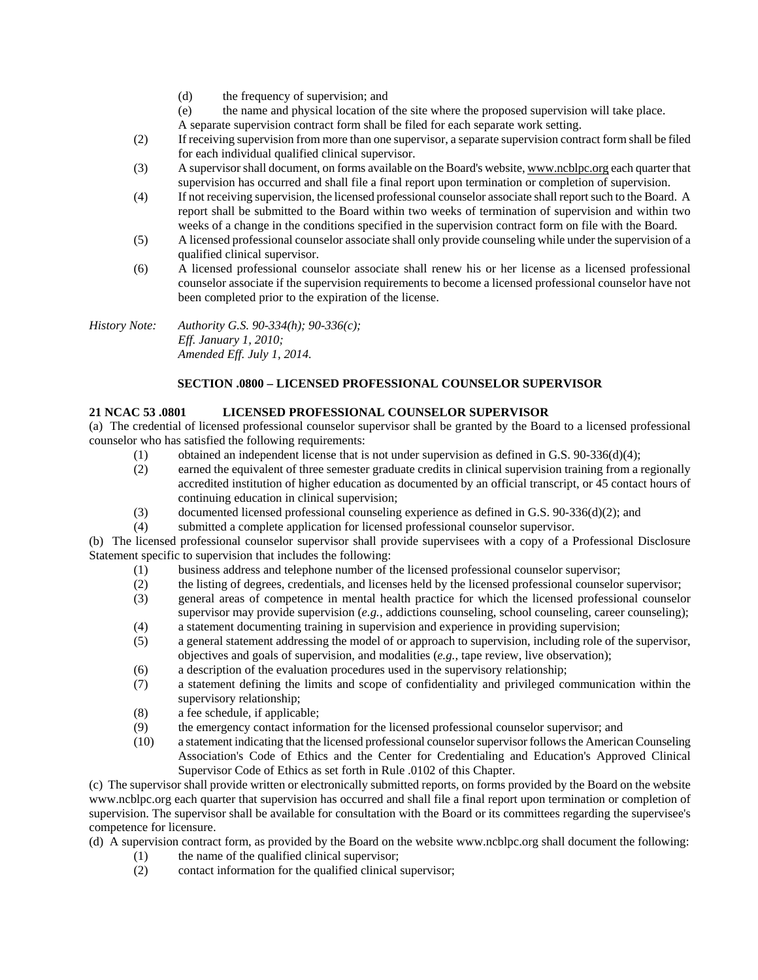- (d) the frequency of supervision; and
- (e) the name and physical location of the site where the proposed supervision will take place.
- A separate supervision contract form shall be filed for each separate work setting.
- (2) If receiving supervision from more than one supervisor, a separate supervision contract form shall be filed for each individual qualified clinical supervisor.
- (3) A supervisor shall document, on forms available on the Board's website, www.ncblpc.org each quarter that supervision has occurred and shall file a final report upon termination or completion of supervision.
- (4) If not receiving supervision, the licensed professional counselor associate shall report such to the Board. A report shall be submitted to the Board within two weeks of termination of supervision and within two weeks of a change in the conditions specified in the supervision contract form on file with the Board.
- (5) A licensed professional counselor associate shall only provide counseling while under the supervision of a qualified clinical supervisor.
- (6) A licensed professional counselor associate shall renew his or her license as a licensed professional counselor associate if the supervision requirements to become a licensed professional counselor have not been completed prior to the expiration of the license.

*History Note: Authority G.S. 90-334(h); 90-336(c); Eff. January 1, 2010; Amended Eff. July 1, 2014.* 

# **SECTION .0800 – LICENSED PROFESSIONAL COUNSELOR SUPERVISOR**

# **21 NCAC 53 .0801 LICENSED PROFESSIONAL COUNSELOR SUPERVISOR**

(a) The credential of licensed professional counselor supervisor shall be granted by the Board to a licensed professional counselor who has satisfied the following requirements:

- (1) obtained an independent license that is not under supervision as defined in G.S. 90-336(d)(4);
- (2) earned the equivalent of three semester graduate credits in clinical supervision training from a regionally accredited institution of higher education as documented by an official transcript, or 45 contact hours of continuing education in clinical supervision;
- (3) documented licensed professional counseling experience as defined in G.S. 90-336(d)(2); and
- (4) submitted a complete application for licensed professional counselor supervisor.

(b) The licensed professional counselor supervisor shall provide supervisees with a copy of a Professional Disclosure Statement specific to supervision that includes the following:

- (1) business address and telephone number of the licensed professional counselor supervisor;
- (2) the listing of degrees, credentials, and licenses held by the licensed professional counselor supervisor;
- (3) general areas of competence in mental health practice for which the licensed professional counselor supervisor may provide supervision (*e.g.*, addictions counseling, school counseling, career counseling);
- (4) a statement documenting training in supervision and experience in providing supervision;
- (5) a general statement addressing the model of or approach to supervision, including role of the supervisor, objectives and goals of supervision, and modalities (*e.g.*, tape review, live observation);
- (6) a description of the evaluation procedures used in the supervisory relationship;
- (7) a statement defining the limits and scope of confidentiality and privileged communication within the supervisory relationship;
- (8) a fee schedule, if applicable;
- (9) the emergency contact information for the licensed professional counselor supervisor; and
- (10) a statement indicating that the licensed professional counselor supervisor follows the American Counseling Association's Code of Ethics and the Center for Credentialing and Education's Approved Clinical Supervisor Code of Ethics as set forth in Rule .0102 of this Chapter.

(c) The supervisor shall provide written or electronically submitted reports, on forms provided by the Board on the website www.ncblpc.org each quarter that supervision has occurred and shall file a final report upon termination or completion of supervision. The supervisor shall be available for consultation with the Board or its committees regarding the supervisee's competence for licensure.

(d) A supervision contract form, as provided by the Board on the website www.ncblpc.org shall document the following:

- (1) the name of the qualified clinical supervisor;
- (2) contact information for the qualified clinical supervisor;